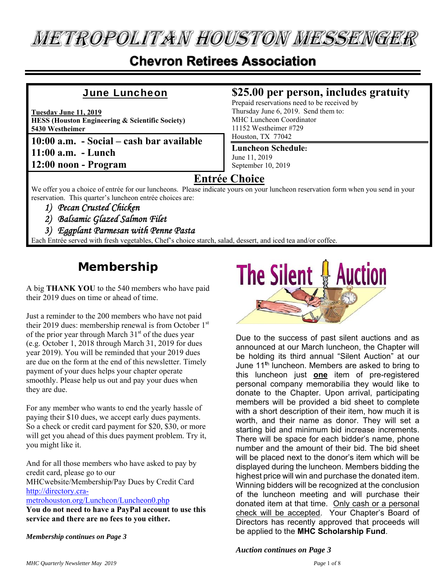**METROPOLITAN HOUSTON MESSENGER** 

## **Chevron Retirees Association**

#### **June Luncheon**

**Tuesday June 11, 2019 HESS (Houston Engineering & Scientific Society) 5430 Westheimer** 

**10:00 a.m. - Social – cash bar available 11:00 a.m. - Lunch 12:00 noon - Program** 

#### **\$25.00 per person, includes gratuity**

Prepaid reservations need to be received by Thursday June 6, 2019. Send them to: MHC Luncheon Coordinator 11152 Westheimer #729 Houston, TX 77042

#### **Luncheon Schedule:** June 11, 2019 September 10, 2019

### **Entrée Choice**

We offer you a choice of entrée for our luncheons. Please indicate yours on your luncheon reservation form when you send in your reservation. This quarter's luncheon entrée choices are:

- *1) Pecan Crusted Chicken*
- *2) Balsamic Glazed Salmon Filet*
- *3) Eggplant Parmesan with Penne Pasta*

Each Entrée served with fresh vegetables, Chef's choice starch, salad, dessert, and iced tea and/or coffee.

## **Membership**

A big **THANK YOU** to the 540 members who have paid their 2019 dues on time or ahead of time.

Just a reminder to the 200 members who have not paid their 2019 dues: membership renewal is from October 1st of the prior year through March  $31<sup>st</sup>$  of the dues year (e.g. October 1, 2018 through March 31, 2019 for dues year 2019). You will be reminded that your 2019 dues are due on the form at the end of this newsletter. Timely payment of your dues helps your chapter operate smoothly. Please help us out and pay your dues when they are due.

For any member who wants to end the yearly hassle of paying their \$10 dues, we accept early dues payments. So a check or credit card payment for \$20, \$30, or more will get you ahead of this dues payment problem. Try it, you might like it.

And for all those members who have asked to pay by credit card, please go to our MHCwebsite/Membership/Pay Dues by Credit Card http://directory.cra-

metrohouston.org/Luncheon/Luncheon0.php

**You do not need to have a PayPal account to use this service and there are no fees to you either.** 

*Membership continues on Page 3* 



Due to the success of past silent auctions and as announced at our March luncheon, the Chapter will be holding its third annual "Silent Auction" at our June 11**<sup>t</sup>**h luncheon. Members are asked to bring to this luncheon just **one** item of pre-registered personal company memorabilia they would like to donate to the Chapter. Upon arrival, participating members will be provided a bid sheet to complete with a short description of their item, how much it is worth, and their name as donor. They will set a starting bid and minimum bid increase increments. There will be space for each bidder's name, phone number and the amount of their bid. The bid sheet will be placed next to the donor's item which will be displayed during the luncheon. Members bidding the highest price will win and purchase the donated item. Winning bidders will be recognized at the conclusion of the luncheon meeting and will purchase their donated item at that time. Only cash or a personal check will be accepted. Your Chapter's Board of Directors has recently approved that proceeds will be applied to the **MHC Scholarship Fund**.

*Auction continues on Page 3*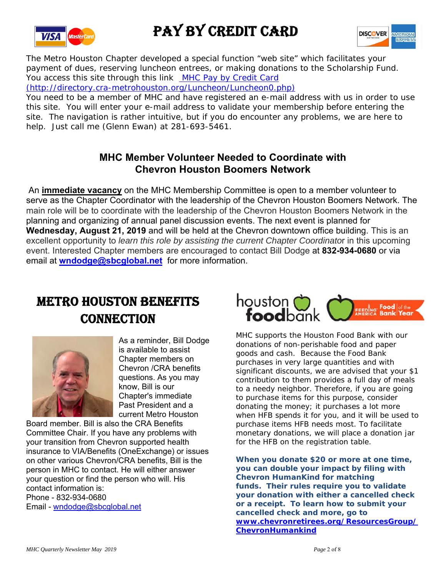

## PAY BY CREDIT CARD



The Metro Houston Chapter developed a special function "web site" which facilitates your payment of dues, reserving luncheon entrees, or making donations to the Scholarship Fund. You access this site through this link MHC Pay by Credit Card

(http://directory.cra-metrohouston.org/Luncheon/Luncheon0.php)

You need to be a member of MHC and have registered an e-mail address with us in order to use this site. You will enter your e-mail address to validate your membership before entering the site. The navigation is rather intuitive, but if you do encounter any problems, we are here to help. Just call me (Glenn Ewan) at 281-693-5461.

#### **MHC Member Volunteer Needed to Coordinate with Chevron Houston Boomers Network**

 An **immediate vacancy** on the MHC Membership Committee is open to a member volunteer to serve as the Chapter Coordinator with the leadership of the Chevron Houston Boomers Network. The main role will be to coordinate with the leadership of the Chevron Houston Boomers Network in the planning and organizing of annual panel discussion events. The next event is planned for **Wednesday, August 21, 2019** and will be held at the Chevron downtown office building. This is an excellent opportunity to *learn this role by assisting the current Chapter Coordinato*r in this upcoming event. Interested Chapter members are encouraged to contact Bill Dodge at **832-934-0680** or via email at **wndodge@sbcglobal.net** for more information.

## METRO HOUSTON BENEFITS **CONNECTION**



As a reminder, Bill Dodge is available to assist Chapter members on Chevron /CRA benefits questions. As you may know, Bill is our Chapter's immediate Past President and a current Metro Houston

Board member. Bill is also the CRA Benefits Committee Chair. If you have any problems with your transition from Chevron supported health insurance to VIA/Benefits (OneExchange) or issues on other various Chevron/CRA benefits, Bill is the person in MHC to contact. He will either answer your question or find the person who will. His contact information is: Phone - 832-934-0680 Email - wndodge@sbcglobal.net



MHC supports the Houston Food Bank with our donations of non-perishable food and paper goods and cash. Because the Food Bank purchases in very large quantities and with significant discounts, we are advised that your \$1 contribution to them provides a full day of meals to a needy neighbor. Therefore, if you are going to purchase items for this purpose, consider donating the money; it purchases a lot more when HFB spends it for you, and it will be used to purchase items HFB needs most. To facilitate monetary donations, we will place a donation jar for the HFB on the registration table.

**When you donate \$20 or more at one time, you can double your impact by filing with Chevron HumanKind for matching funds. Their rules require you to validate your donation with either a cancelled check or a receipt. To learn how to submit your cancelled check and more, go to www.chevronretirees.org/ResourcesGroup/ ChevronHumankind**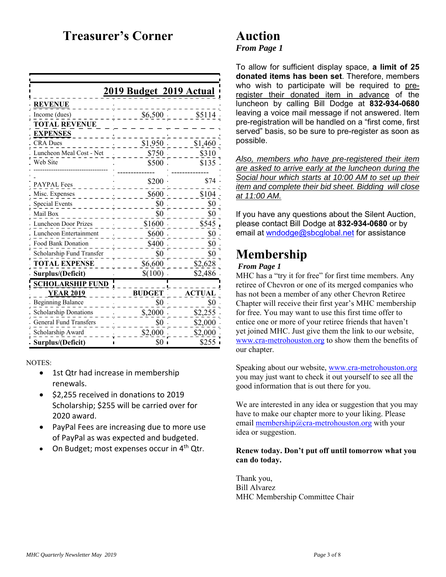## **Treasurer's Corner**

| <u>2019 Budget 2019 Actual</u> |               |               |  |  |  |  |
|--------------------------------|---------------|---------------|--|--|--|--|
| <u>REVENUE</u>                 |               |               |  |  |  |  |
| Income (dues)                  | \$6,500       | \$5114        |  |  |  |  |
| <b>TOTAL REVENUE</b>           |               |               |  |  |  |  |
| <b>EXPENSES</b>                |               |               |  |  |  |  |
| <b>CRA</b> Dues                | \$1,950       | \$1,460       |  |  |  |  |
| Luncheon Meal Cost - Net       | \$750         | \$310         |  |  |  |  |
| Web Site                       | \$500         | \$135         |  |  |  |  |
|                                |               |               |  |  |  |  |
| <b>PAYPAL Fees</b>             | \$200         | \$74          |  |  |  |  |
| Misc. Expenses                 | \$600         | \$104         |  |  |  |  |
| <b>Special Events</b>          | \$0           | \$0           |  |  |  |  |
| Mail Box                       | \$0           | \$0           |  |  |  |  |
| Luncheon Door Prizes           | \$1600        | \$545         |  |  |  |  |
| Luncheon Entertainment         | \$600         | \$0           |  |  |  |  |
| <b>Food Bank Donation</b>      | \$400         | \$0           |  |  |  |  |
| Scholarship Fund Transfer      | \$0           | \$0           |  |  |  |  |
| <b>TOTAL EXPENSE</b>           | \$6,600       | \$2,628       |  |  |  |  |
| Surplus/(Deficit)              | \$(100)       | \$2,486       |  |  |  |  |
| <u>SCHOLARSHIP FUND</u>        |               |               |  |  |  |  |
| <b>YEAR 2019</b>               | <b>BUDGET</b> | <b>ACTUAL</b> |  |  |  |  |
| <b>Beginning Balance</b>       | \$0           | \$0           |  |  |  |  |
| <b>Scholarship Donations</b>   | \$,2000       | \$2,255       |  |  |  |  |
| <b>General Fund Transfers</b>  | \$0           | \$2,000       |  |  |  |  |
| Scholarship Award              | \$2,000       | \$2,000       |  |  |  |  |
| Surplus/(Deficit)              | \$0           | \$255         |  |  |  |  |

NOTES:

- 1st Qtr had increase in membership renewals.
- $\bullet$  \$2.255 received in donations to 2019 Scholarship; \$255 will be carried over for 2020 award.
- PayPal Fees are increasing due to more use of PayPal as was expected and budgeted.
- On Budget; most expenses occur in 4<sup>th</sup> Qtr.

## **Auction**

#### *From Page 1*

To allow for sufficient display space, **a limit of 25 donated items has been set**. Therefore, members who wish to participate will be required to preregister their donated item in advance of the luncheon by calling Bill Dodge at **832-934-0680** leaving a voice mail message if not answered. Item pre-registration will be handled on a "first come, first served" basis, so be sure to pre-register as soon as possible.

*Also, members who have pre-registered their item are asked to arrive early at the luncheon during the Social hour which starts at 10:00 AM to set up their item and complete their bid sheet. Bidding will close at 11:00 AM.* 

If you have any questions about the Silent Auction, please contact Bill Dodge at **832-934-0680** or by email at wndodge@sbcglobal.net for assistance

## **Membership**

#### *From Page 1*

MHC has a "try it for free" for first time members. Any retiree of Chevron or one of its merged companies who has not been a member of any other Chevron Retiree Chapter will receive their first year's MHC membership for free. You may want to use this first time offer to entice one or more of your retiree friends that haven't yet joined MHC. Just give them the link to our website, www.cra-metrohouston.org to show them the benefits of our chapter.

Speaking about our website, www.cra-metrohouston.org you may just want to check it out yourself to see all the good information that is out there for you.

We are interested in any idea or suggestion that you may have to make our chapter more to your liking. Please email membership@cra-metrohouston.org with your idea or suggestion.

#### **Renew today. Don't put off until tomorrow what you can do today.**

Thank you, Bill Alvarez MHC Membership Committee Chair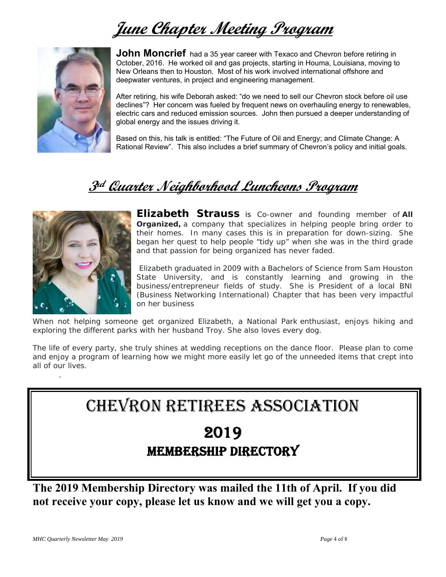## **June Chapter Meeting Program**



**John Moncrief** had a 35 year career with Texaco and Chevron before retiring in October, 2016. He worked oil and gas projects, starting in Houma, Louisiana, moving to New Orleans then to Houston. Most of his work involved international offshore and deepwater ventures, in project and engineering management.

After retiring, his wife Deborah asked: "do we need to sell our Chevron stock before oil use declines"? Her concern was fueled by frequent news on overhauling energy to renewables, electric cars and reduced emission sources. John then pursued a deeper understanding of global energy and the issues driving it.

Based on this, his talk is entitled: "The Future of Oil and Energy; and Climate Change: A Rational Review". This also includes a brief summary of Chevron's policy and initial goals.

## **3rd Quarter Neighborhood Luncheons Program**



.

**Elizabeth Strauss** is Co-owner and founding member of *All Organized,* a company that specializes in helping people bring order to their homes. In many cases this is in preparation for down-sizing. She began her quest to help people "tidy up" when she was in the third grade and that passion for being organized has never faded.

 Elizabeth graduated in 2009 with a Bachelors of Science from Sam Houston State University, and is constantly learning and growing in the business/entrepreneur fields of study. She is President of a local BNI (Business Networking International) Chapter that has been very impactful on her business

When not helping someone get organized Elizabeth, a National Park enthusiast, enjoys hiking and exploring the different parks with her husband Troy. She also loves every dog.

The life of every party, she truly shines at wedding receptions on the dance floor. Please plan to come and enjoy a program of learning how we might more easily let go of the unneeded items that crept into all of our lives.

## CHEVRON RETIREES ASSOCIATION

## 2019 MEMBERSHIP DIRECTORY

**The 2019 Membership Directory was mailed the 11th of April. If you did not receive your copy, please let us know and we will get you a copy.**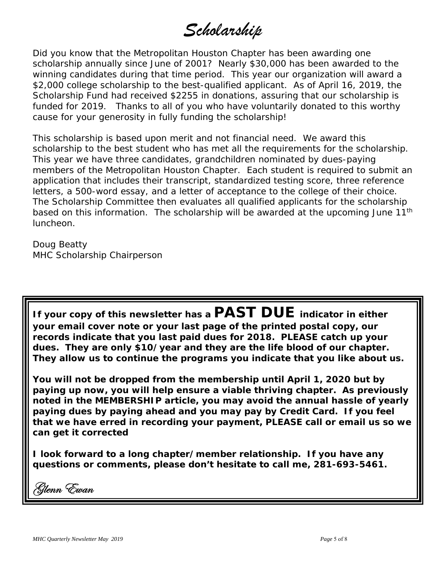*Scholarship*

Did you know that the Metropolitan Houston Chapter has been awarding one scholarship annually since June of 2001? Nearly \$30,000 has been awarded to the winning candidates during that time period. This year our organization will award a \$2,000 college scholarship to the best-qualified applicant. As of April 16, 2019, the Scholarship Fund had received \$2255 in donations, assuring that our scholarship is funded for 2019. Thanks to all of you who have voluntarily donated to this worthy cause for your generosity in fully funding the scholarship!

This scholarship is based upon merit and not financial need. We award this scholarship to the best student who has met all the requirements for the scholarship. This year we have three candidates, grandchildren nominated by dues-paying members of the Metropolitan Houston Chapter. Each student is required to submit an application that includes their transcript, standardized testing score, three reference letters, a 500-word essay, and a letter of acceptance to the college of their choice. The Scholarship Committee then evaluates all qualified applicants for the scholarship based on this information. The scholarship will be awarded at the upcoming June 11<sup>th</sup> luncheon.

Doug Beatty MHC Scholarship Chairperson

**If your copy of this newsletter has a PAST DUE indicator in either your email cover note or your last page of the printed postal copy, our records indicate that you last paid dues for 2018. PLEASE catch up your dues. They are only \$10/year and they are the life blood of our chapter. They allow us to continue the programs you indicate that you like about us.** 

**You will not be dropped from the membership until April 1, 2020 but by paying up now, you will help ensure a viable thriving chapter. As previously noted in the MEMBERSHIP article, you may avoid the annual hassle of yearly paying dues by paying ahead and you may pay by Credit Card. If you feel that we have erred in recording your payment, PLEASE call or email us so we can get it corrected** 

**I look forward to a long chapter/member relationship. If you have any questions or comments, please don't hesitate to call me, 281-693-5461.**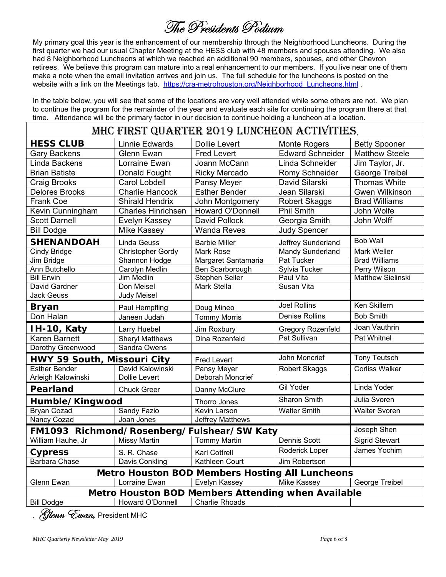## The Presidents Podium

My primary goal this year is the enhancement of our membership through the Neighborhood Luncheons. During the first quarter we had our usual Chapter Meeting at the HESS club with 48 members and spouses attending. We also had 8 Neighborhood Luncheons at which we reached an additional 90 members, spouses, and other Chevron retirees. We believe this program can mature into a real enhancement to our members. If you live near one of them make a note when the email invitation arrives and join us. The full schedule for the luncheons is posted on the website with a link on the Meetings tab. https://cra-metrohouston.org/Neighborhood Luncheons.html .

In the table below, you will see that some of the locations are very well attended while some others are not. We plan to continue the program for the remainder of the year and evaluate each site for continuing the program there at that time. Attendance will be the primary factor in our decision to continue holding a luncheon at a location.

| MHC FIRST QUARTER 2019 LUNCHEON ACTIVITIES,        |                           |                                                        |                          |                          |  |  |  |  |
|----------------------------------------------------|---------------------------|--------------------------------------------------------|--------------------------|--------------------------|--|--|--|--|
| <b>HESS CLUB</b>                                   | <b>Linnie Edwards</b>     | <b>Dollie Levert</b>                                   | Monte Rogers             | <b>Betty Spooner</b>     |  |  |  |  |
| <b>Gary Backens</b>                                | Glenn Ewan                | <b>Fred Levert</b>                                     | <b>Edward Schneider</b>  | <b>Matthew Steele</b>    |  |  |  |  |
| Linda Backens                                      | Lorraine Ewan             | Joann McCann                                           | Linda Schneider          | Jim Taylor, Jr.          |  |  |  |  |
| <b>Brian Batiste</b>                               | Donald Fought             | <b>Ricky Mercado</b>                                   | <b>Romy Schneider</b>    | George Treibel           |  |  |  |  |
| Craig Brooks                                       | <b>Carol Lobdell</b>      | Pansy Meyer                                            | David Silarski           | <b>Thomas White</b>      |  |  |  |  |
| <b>Delores Brooks</b>                              | <b>Charlie Hancock</b>    | <b>Esther Bender</b>                                   | Jean Silarski            | <b>Gwen Wilkinson</b>    |  |  |  |  |
| <b>Frank Coe</b>                                   | <b>Shirald Hendrix</b>    | John Montgomery                                        | <b>Robert Skaggs</b>     | <b>Brad Williams</b>     |  |  |  |  |
| Kevin Cunningham                                   | <b>Charles Hinrichsen</b> | Howard O'Donnell                                       | <b>Phil Smith</b>        | John Wolfe               |  |  |  |  |
| <b>Scott Darnell</b>                               | Evelyn Kassey             | <b>David Pollock</b>                                   | Georgia Smith            | John Wolff               |  |  |  |  |
| <b>Bill Dodge</b>                                  | <b>Mike Kassey</b>        | <b>Wanda Reves</b>                                     | <b>Judy Spencer</b>      |                          |  |  |  |  |
| <b>SHENANDOAH</b>                                  | <b>Linda Geuss</b>        | <b>Barbie Miller</b>                                   | Jeffrey Sunderland       | <b>Bob Wall</b>          |  |  |  |  |
| Cindy Bridge                                       | <b>Christopher Gordy</b>  | Mark Rose                                              | <b>Mandy Sunderland</b>  | <b>Mark Weller</b>       |  |  |  |  |
| Jim Bridge                                         | Shannon Hodge             | Margaret Santamaria                                    | Pat Tucker               | <b>Brad Williams</b>     |  |  |  |  |
| Ann Butchello                                      | Carolyn Medlin            | Ben Scarborough                                        | Sylvia Tucker            | Perry Wilson             |  |  |  |  |
| <b>Bill Erwin</b>                                  | <b>Jim Medlin</b>         | <b>Stephen Seiler</b>                                  | Paul Vita                | <b>Matthew Sielinski</b> |  |  |  |  |
| David Gardner                                      | Don Meisel                | Mark Stella                                            | Susan Vita               |                          |  |  |  |  |
| <b>Jack Geuss</b>                                  | Judy Meisel               |                                                        |                          |                          |  |  |  |  |
| <b>Bryan</b>                                       | Paul Hempfling            | Doug Mineo                                             | <b>Joel Rollins</b>      | Ken Skillern             |  |  |  |  |
| Don Halan                                          | Janeen Judah              | <b>Tommy Morris</b>                                    | <b>Denise Rollins</b>    | <b>Bob Smith</b>         |  |  |  |  |
| IH-10, Katy                                        | Larry Huebel              | Jim Roxbury                                            | <b>Gregory Rozenfeld</b> | Joan Vauthrin            |  |  |  |  |
| <b>Karen Barnett</b>                               | <b>Sheryl Matthews</b>    | Dina Rozenfeld                                         | Pat Sullivan             | <b>Pat Whitnel</b>       |  |  |  |  |
| Dorothy Greenwood                                  | Sandra Owens              |                                                        |                          |                          |  |  |  |  |
| HWY 59 South, Missouri City                        |                           | <b>Fred Levert</b>                                     | John Moncrief            | <b>Tony Teutsch</b>      |  |  |  |  |
| <b>Esther Bender</b>                               | David Kalowinski          | <b>Pansy Meyer</b>                                     | Robert Skaggs            | <b>Corliss Walker</b>    |  |  |  |  |
| Arleigh Kalowinski                                 | Dollie Levert             | <b>Deborah Moncrief</b>                                |                          |                          |  |  |  |  |
| Pearland                                           | <b>Chuck Greer</b>        | Danny McClure                                          | Gil Yoder                | Linda Yoder              |  |  |  |  |
| Humble/Kingwood                                    |                           | Thorro Jones                                           | <b>Sharon Smith</b>      | Julia Svoren             |  |  |  |  |
| <b>Bryan Cozad</b>                                 | Sandy Fazio               | Kevin Larson                                           | <b>Walter Smith</b>      | <b>Walter Svoren</b>     |  |  |  |  |
| Nancy Cozad                                        | Joan Jones                | Jeffrey Matthews                                       |                          |                          |  |  |  |  |
| FM1093 Richmond/Rosenberg/Fulshear/SW Katy         |                           | Joseph Shen                                            |                          |                          |  |  |  |  |
| William Hauhe, Jr                                  | <b>Missy Martin</b>       | <b>Tommy Martin</b>                                    | Dennis Scott             | <b>Sigrid Stewart</b>    |  |  |  |  |
| <b>Cypress</b>                                     | S. R. Chase               | <b>Karl Cottrell</b>                                   | Roderick Loper           | James Yochim             |  |  |  |  |
| <b>Barbara Chase</b>                               | Davis Conkling            | Kathleen Court                                         | Jim Robertson            |                          |  |  |  |  |
|                                                    |                           | <b>Metro Houston BOD Members Hosting All Luncheons</b> |                          |                          |  |  |  |  |
| Glenn Ewan                                         | Lorraine Ewan             | Evelyn Kassey                                          | Mike Kassey              | <b>George Treibel</b>    |  |  |  |  |
| Metro Houston BOD Members Attending when Available |                           |                                                        |                          |                          |  |  |  |  |
| <b>Bill Dodge</b>                                  | Howard O'Donnell          | <b>Charlie Rhoads</b>                                  |                          |                          |  |  |  |  |

**Slenn Ewan**, President MHC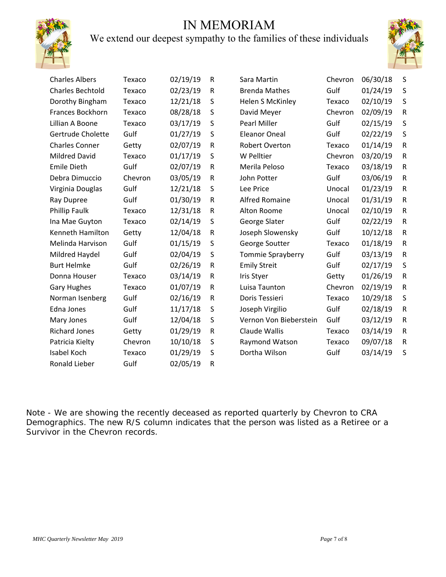## IN MEMORIAM



## We extend our deepest sympathy to the families of these individuals



| <b>Charles Albers</b>   | Texaco  | 02/19/19 | R            | Sara Martin            | Chevron | 06/30/18 | S         |
|-------------------------|---------|----------|--------------|------------------------|---------|----------|-----------|
| <b>Charles Bechtold</b> | Texaco  | 02/23/19 | $\mathsf R$  | <b>Brenda Mathes</b>   | Gulf    | 01/24/19 | $\sf S$   |
| Dorothy Bingham         | Texaco  | 12/21/18 | S            | Helen S McKinley       | Texaco  | 02/10/19 | $\sf S$   |
| Frances Bockhorn        | Texaco  | 08/28/18 | S            | David Meyer            | Chevron | 02/09/19 | ${\sf R}$ |
| Lillian A Boone         | Texaco  | 03/17/19 | S            | Pearl Miller           | Gulf    | 02/15/19 | $\sf S$   |
| Gertrude Cholette       | Gulf    | 01/27/19 | S            | Eleanor Oneal          | Gulf    | 02/22/19 | $\sf S$   |
| <b>Charles Conner</b>   | Getty   | 02/07/19 | $\mathsf R$  | <b>Robert Overton</b>  | Texaco  | 01/14/19 | ${\sf R}$ |
| <b>Mildred David</b>    | Texaco  | 01/17/19 | S            | W Pelltier             | Chevron | 03/20/19 | ${\sf R}$ |
| <b>Emile Dieth</b>      | Gulf    | 02/07/19 | $\mathsf{R}$ | Merila Peloso          | Texaco  | 03/18/19 | ${\sf R}$ |
| Debra Dimuccio          | Chevron | 03/05/19 | $\mathsf R$  | John Potter            | Gulf    | 03/06/19 | ${\sf R}$ |
| Virginia Douglas        | Gulf    | 12/21/18 | S            | Lee Price              | Unocal  | 01/23/19 | ${\sf R}$ |
| Ray Dupree              | Gulf    | 01/30/19 | R            | <b>Alfred Romaine</b>  | Unocal  | 01/31/19 | ${\sf R}$ |
| Phillip Faulk           | Texaco  | 12/31/18 | R            | Alton Roome            | Unocal  | 02/10/19 | ${\sf R}$ |
| Ina Mae Guyton          | Texaco  | 02/14/19 | $\sf S$      | George Slater          | Gulf    | 02/22/19 | ${\sf R}$ |
| Kenneth Hamilton        | Getty   | 12/04/18 | $\mathsf R$  | Joseph Slowensky       | Gulf    | 10/12/18 | ${\sf R}$ |
| Melinda Harvison        | Gulf    | 01/15/19 | S            | George Soutter         | Texaco  | 01/18/19 | ${\sf R}$ |
| Mildred Haydel          | Gulf    | 02/04/19 | S            | Tommie Sprayberry      | Gulf    | 03/13/19 | ${\sf R}$ |
| <b>Burt Helmke</b>      | Gulf    | 02/26/19 | ${\sf R}$    | <b>Emily Streit</b>    | Gulf    | 02/17/19 | $\sf S$   |
| Donna Houser            | Texaco  | 03/14/19 | R            | <b>Iris Styer</b>      | Getty   | 01/26/19 | ${\sf R}$ |
| <b>Gary Hughes</b>      | Texaco  | 01/07/19 | ${\sf R}$    | Luisa Taunton          | Chevron | 02/19/19 | ${\sf R}$ |
| Norman Isenberg         | Gulf    | 02/16/19 | $\mathsf R$  | Doris Tessieri         | Texaco  | 10/29/18 | $\sf S$   |
| Edna Jones              | Gulf    | 11/17/18 | S            | Joseph Virgilio        | Gulf    | 02/18/19 | ${\sf R}$ |
| Mary Jones              | Gulf    | 12/04/18 | S            | Vernon Von Bieberstein | Gulf    | 03/12/19 | ${\sf R}$ |
| <b>Richard Jones</b>    | Getty   | 01/29/19 | ${\sf R}$    | Claude Wallis          | Texaco  | 03/14/19 | ${\sf R}$ |
| Patricia Kielty         | Chevron | 10/10/18 | S            | Raymond Watson         | Texaco  | 09/07/18 | ${\sf R}$ |
| Isabel Koch             | Texaco  | 01/29/19 | S            | Dortha Wilson          | Gulf    | 03/14/19 | S         |
| Ronald Lieber           | Gulf    | 02/05/19 | $\mathsf R$  |                        |         |          |           |

Note - We are showing the recently deceased as reported quarterly by Chevron to CRA Demographics. The new R/S column indicates that the person was listed as a Retiree or a Survivor in the Chevron records.